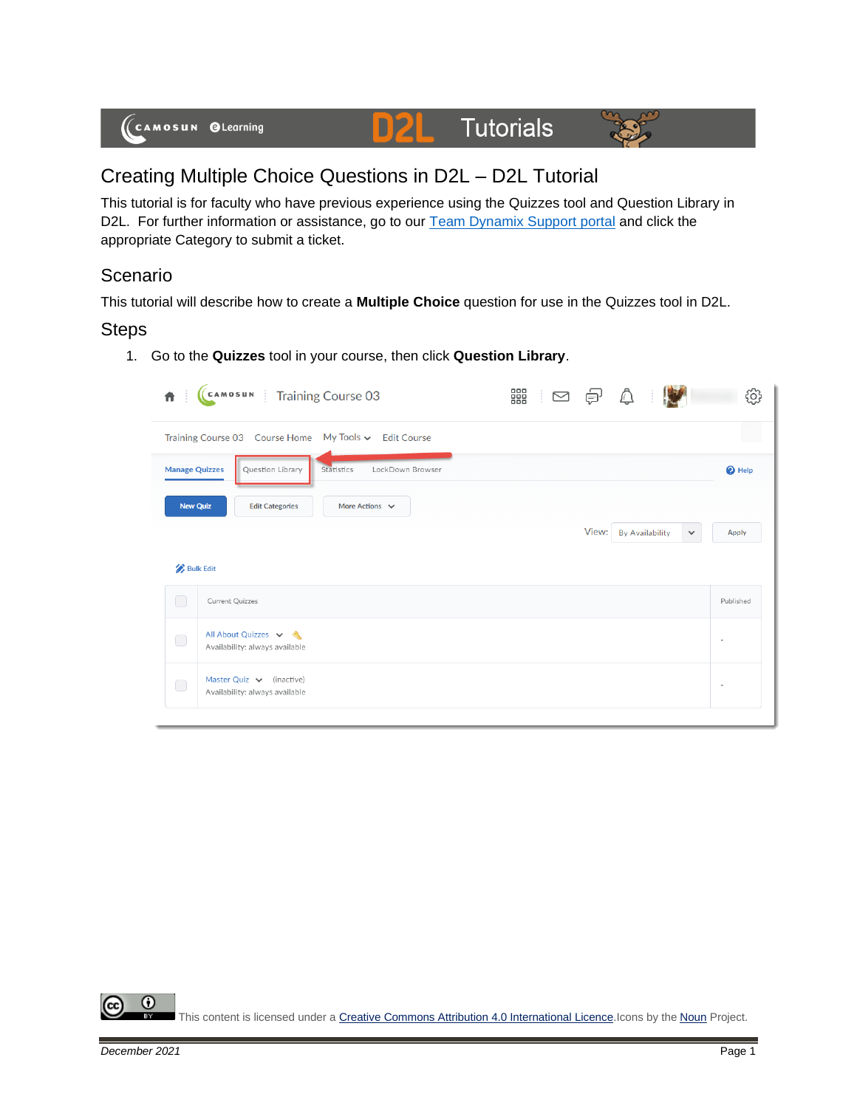

## Creating Multiple Choice Questions in D2L – D2L Tutorial

This tutorial is for faculty who have previous experience using the Quizzes tool and Question Library in D2L. For further information or assistance, go to our **Team Dynamix Support portal** and click the appropriate Category to submit a ticket.

## **Scenario**

This tutorial will describe how to create a **Multiple Choice** question for use in the Quizzes tool in D2L.

## Steps

1. Go to the **Quizzes** tool in your course, then click **Question Library**.

| 青                     | CAMOSUN Training Course 03                                      | 器 10 0 0 |       |                        |              | O;                          |
|-----------------------|-----------------------------------------------------------------|----------|-------|------------------------|--------------|-----------------------------|
|                       | Training Course 03 Course Home My Tools v Edit Course           |          |       |                        |              | $\mathcal{L}_{\mathcal{A}}$ |
| <b>Manage Quizzes</b> | LockDown Browser<br>Question Library<br>Statistics              |          |       |                        |              | <sup>O</sup> Help           |
| <b>New Quiz</b>       | More Actions $\sim$<br><b>Edit Categories</b>                   |          |       |                        |              |                             |
|                       |                                                                 |          | View: | <b>By Availability</b> | $\checkmark$ | <b>Apply</b>                |
| <b>Bulk Edit</b>      |                                                                 |          |       |                        |              |                             |
| $\Box$                | Current Quizzes                                                 |          |       |                        |              | Published                   |
| $\bigcirc$            | All About Quizzes v &<br>Availability: always available         |          |       |                        |              | $\sim$                      |
| $\bigcirc$            | Master Quiz $\vee$ (inactive)<br>Availability: always available |          |       |                        |              |                             |
|                       |                                                                 |          |       |                        |              |                             |

0 This content is licensed under [a Creative Commons Attribution 4.0 International Licence.I](https://creativecommons.org/licenses/by/4.0/)cons by the [Noun](https://creativecommons.org/website-icons/) Project.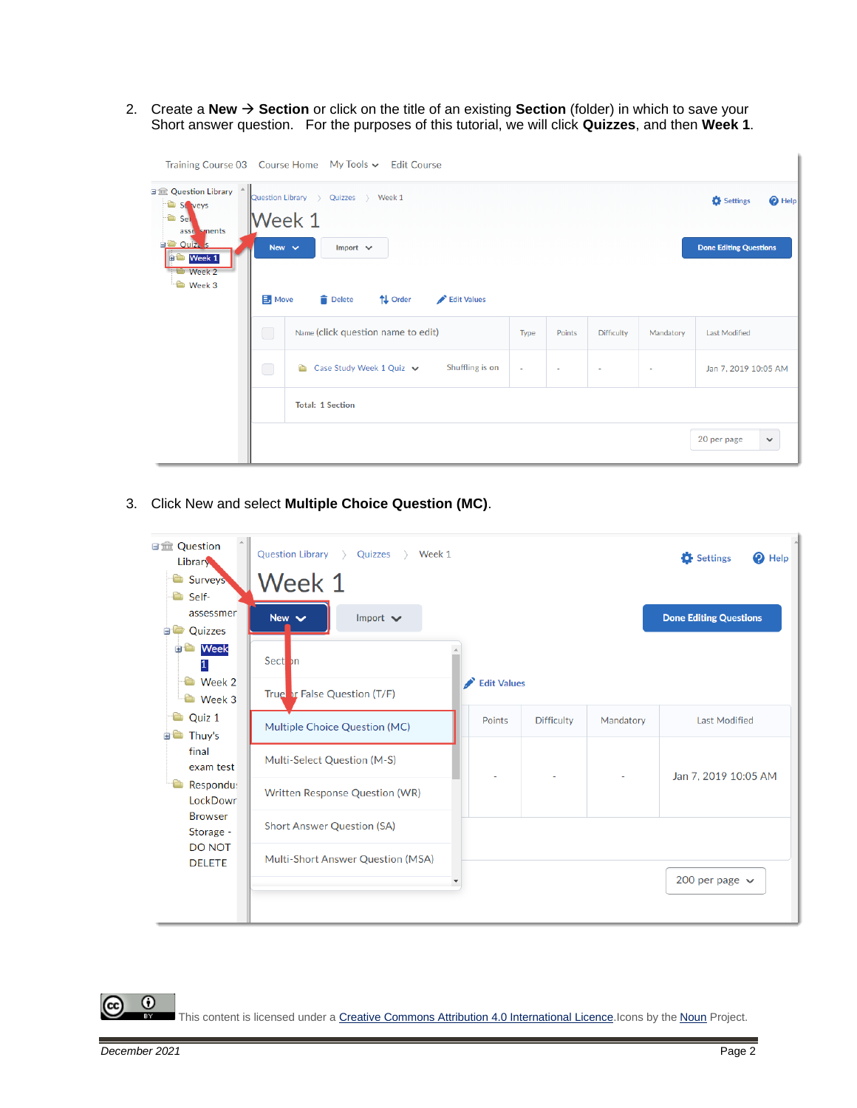2. Create a **New** → **Section** or click on the title of an existing **Section** (folder) in which to save your Short answer question. For the purposes of this tutorial, we will click **Quizzes**, and then **Week 1**.

|                                                                        |                                                                                         | Training Course 03    Course Home    My Tools v    Edit Course  |  |  |  |           |                               |
|------------------------------------------------------------------------|-----------------------------------------------------------------------------------------|-----------------------------------------------------------------|--|--|--|-----------|-------------------------------|
| 日金 Question Library ^<br>St veys<br>$\bullet$ Sely<br>asse sments      |                                                                                         | $\rightarrow$ Week 1<br>Quizzes<br>Question Library ><br>Week 1 |  |  |  |           | Settings<br><sup>O</sup> Help |
| <b>EL Ouiz</b> s<br>$\bullet$ Week 1<br><b>Week 2</b><br><b>Week 3</b> | New $\vee$<br>$\mathbf{B}$ , Move                                                       | Import $\vee$<br><b>Delete</b><br>↑↓ Order<br>Edit Values       |  |  |  |           | <b>Done Editing Questions</b> |
|                                                                        | $\bigcirc$<br>Name (click question name to edit)<br>Points<br>Type<br><b>Difficulty</b> |                                                                 |  |  |  | Mandatory | <b>Last Modified</b>          |
|                                                                        | $\bigcirc$                                                                              | Shuffling is on<br>Case Study Week 1 Quiz v<br>Ò                |  |  |  | ٠         | Jan 7, 2019 10:05 AM          |
|                                                                        |                                                                                         | <b>Total: 1 Section</b>                                         |  |  |  |           |                               |
|                                                                        |                                                                                         |                                                                 |  |  |  |           | 20 per page<br>$\checkmark$   |

3. Click New and select **Multiple Choice Question (MC)**.

| <b>■■ Question</b><br>Library                | Question Library ><br>Quizzes<br>Week 1 |               |                   |           | Settings<br>Help<br>0         |
|----------------------------------------------|-----------------------------------------|---------------|-------------------|-----------|-------------------------------|
| <b>Surveys</b><br>Self-                      | Week 1                                  |               |                   |           |                               |
| assessmer<br>Quizzes<br>$\Box$               | New $\vee$<br>Import $\vee$             |               |                   |           | <b>Done Editing Questions</b> |
| Week<br>ŦÒ<br>1                              | Sect <sub>on</sub>                      |               |                   |           |                               |
| <b>Week 2</b><br>Week 3                      | True or False Question (T/F)            |               |                   |           |                               |
| Quiz 1<br>Thuy's                             | Multiple Choice Question (MC)           | <b>Points</b> | <b>Difficulty</b> | Mandatory | <b>Last Modified</b>          |
| final<br>exam test                           | Multi-Select Question (M-S)             |               |                   |           | Jan 7, 2019 10:05 AM          |
| Respondu:<br>LockDowr                        | Written Response Question (WR)          |               |                   |           |                               |
| <b>Browser</b><br>Storage -<br><b>DO NOT</b> | <b>Short Answer Question (SA)</b>       |               |                   |           |                               |
| <b>DELETE</b>                                | Multi-Short Answer Question (MSA)       |               |                   |           | 200 per page $\sim$           |
|                                              |                                         |               |                   |           |                               |

 $\odot$ This content is licensed under [a Creative Commons Attribution 4.0 International Licence.I](https://creativecommons.org/licenses/by/4.0/)cons by the [Noun](https://creativecommons.org/website-icons/) Project.

(cc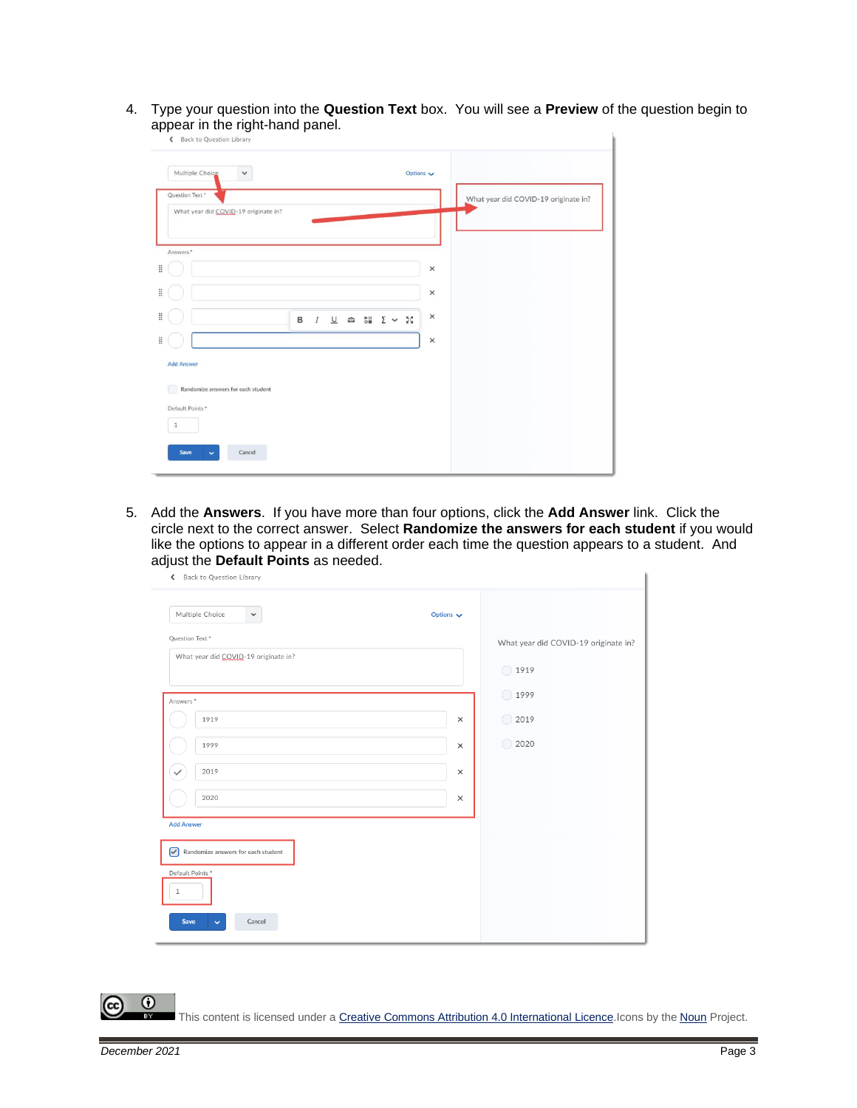4. Type your question into the **Question Text** box. You will see a **Preview** of the question begin to appear in the right-hand panel.

| Multiple Choice<br>$\check{~}$                         |   |                  |                                         | Options $\sqrt{}$ |          |                                      |  |
|--------------------------------------------------------|---|------------------|-----------------------------------------|-------------------|----------|--------------------------------------|--|
| Question Text*<br>What year did COVID-19 originate in? |   |                  |                                         |                   |          | What year did COVID-19 originate in? |  |
| Answers*                                               |   |                  |                                         |                   |          |                                      |  |
|                                                        |   |                  |                                         |                   | $\times$ |                                      |  |
|                                                        |   |                  |                                         |                   | ×        |                                      |  |
|                                                        | в | $\boldsymbol{I}$ | $\underline{\cup}$ $\infty$ $\xi$ $\xi$ |                   | $\times$ |                                      |  |
|                                                        |   |                  |                                         |                   | $\times$ |                                      |  |
| <b>Add Answer</b>                                      |   |                  |                                         |                   |          |                                      |  |
| Randomize answers for each student<br>Default Points * |   |                  |                                         |                   |          |                                      |  |
| $\mathbf{1}$                                           |   |                  |                                         |                   |          |                                      |  |
| Save<br>Cancel                                         |   |                  |                                         |                   |          |                                      |  |

5. Add the **Answers**. If you have more than four options, click the **Add Answer** link. Click the circle next to the correct answer. Select **Randomize the answers for each student** if you would like the options to appear in a different order each time the question appears to a student. And adjust the **Default Points** as needed.

| ≺<br>Back to Question Library           |                  |                                      |
|-----------------------------------------|------------------|--------------------------------------|
| Multiple Choice<br>$\checkmark$         | Options $\smile$ |                                      |
| Question Text*                          |                  | What year did COVID-19 originate in? |
| What year did COVID-19 originate in?    |                  | $\bigcirc$ 1919                      |
| Answers*                                |                  | ( ) 1999                             |
| 1919                                    | $\times$         | $\bigcirc$ 2019                      |
| 1999                                    | $\times$         | $\bigcirc$<br>2020                   |
| 2019<br>$\checkmark$                    | $\times$         |                                      |
| 2020                                    | $\times$         |                                      |
| <b>Add Answer</b>                       |                  |                                      |
| 罓<br>Randomize answers for each student |                  |                                      |
| Default Points*<br>$\mathbf{1}$         |                  |                                      |
| Cancel<br>Save<br>$\checkmark$          |                  |                                      |

 $\odot$ This content is licensed under [a Creative Commons Attribution 4.0 International Licence.I](https://creativecommons.org/licenses/by/4.0/)cons by the [Noun](https://creativecommons.org/website-icons/) Project.